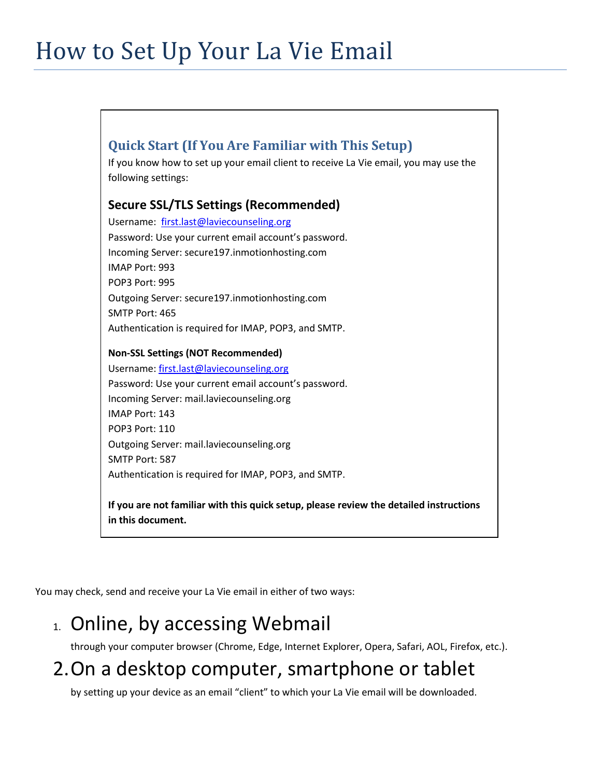# How to Set Up Your La Vie Email

## **Quick Start (If You Are Familiar with This Setup)**

If you know how to set up your email client to receive La Vie email, you may use the following settings:

### **Secure SSL/TLS Settings (Recommended)**

Username: [first.last@laviecounseling.org](mailto:first.last@laviecounseling.org) Password: Use your current email account's password. Incoming Server: secure197.inmotionhosting.com IMAP Port: 993 POP3 Port: 995 Outgoing Server: secure197.inmotionhosting.com SMTP Port: 465 Authentication is required for IMAP, POP3, and SMTP.

#### **Non-SSL Settings (NOT Recommended)**

Username: [first.last@laviecounseling.org](mailto:first.last@laviecounseling.org) Password: Use your current email account's password. Incoming Server: mail.laviecounseling.org IMAP Port: 143 POP3 Port: 110 Outgoing Server: mail.laviecounseling.org SMTP Port: 587 Authentication is required for IMAP, POP3, and SMTP.

**If you are not familiar with this quick setup, please review the detailed instructions in this document.**

You may check, send and receive your La Vie email in either of two ways:

# 1. Online, by accessing Webmail

through your computer browser (Chrome, Edge, Internet Explorer, Opera, Safari, AOL, Firefox, etc.).

# 2.On a desktop computer, smartphone or tablet

by setting up your device as an email "client" to which your La Vie email will be downloaded.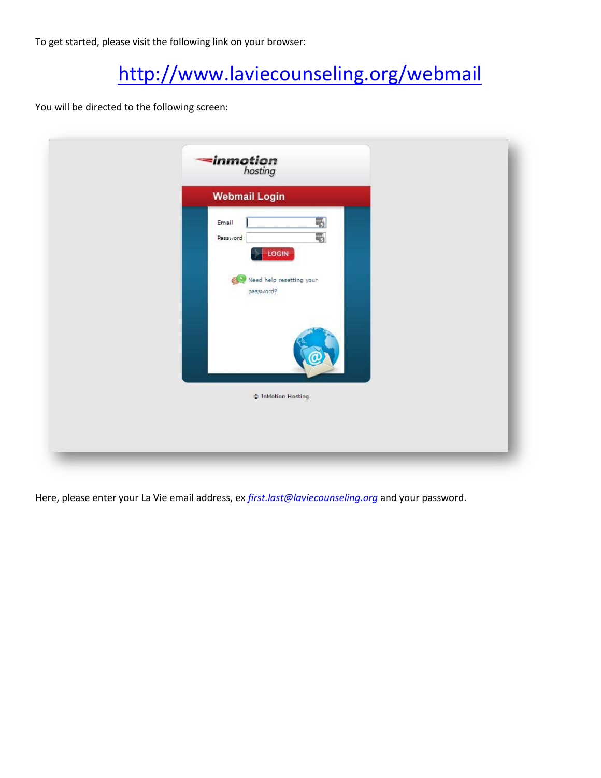To get started, please visit the following link on your browser:

# <http://www.laviecounseling.org/webmail>

You will be directed to the following screen:

| 네<br>$\frac{1}{2}$<br>LOGIN           |
|---------------------------------------|
|                                       |
|                                       |
| Need help resetting your<br>password? |
| C InMotion Hosting                    |
|                                       |

Here, please enter your La Vie email address, ex *[first.last@laviecounseling.org](mailto:first.last@laviecounseling.org)* and your password.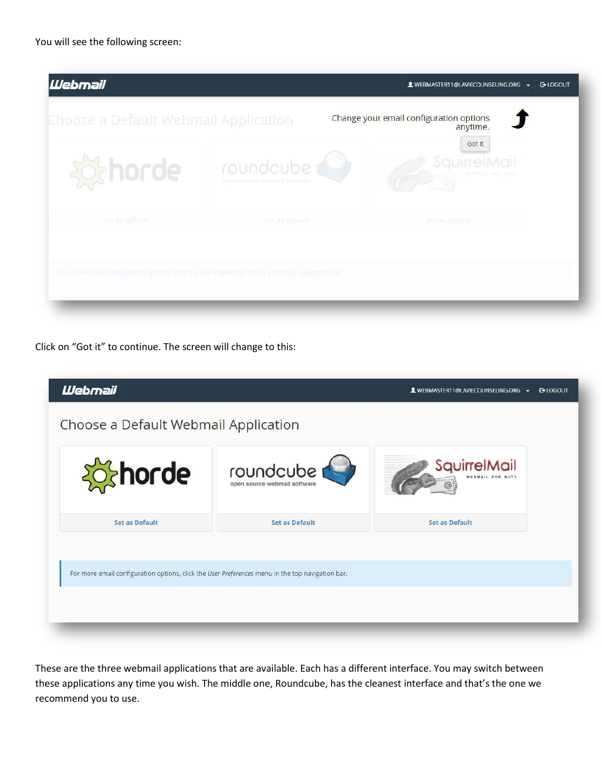

Click on "Got it" to continue. The screen will change to this:

| <b>Webmail</b>                                                                                   |                                           | WEBMASTER11@LAVIECOUNSELING.ORG +<br><b>G-LOGOUT</b> |  |
|--------------------------------------------------------------------------------------------------|-------------------------------------------|------------------------------------------------------|--|
| Choose a Default Webmail Application                                                             |                                           |                                                      |  |
| <b>Schorde</b>                                                                                   | roundcube<br>open source webmail software | SauirrelMail                                         |  |
| <b>Set as Default</b>                                                                            | Set as Default                            | Set as Default                                       |  |
| For more email configuration options, click the User Preferences menu in the top navigation bar. |                                           |                                                      |  |

These are the three webmail applications that are available. Each has a different interface. You may switch between these applications any time you wish. The middle one, Roundcube, has the cleanest interface and that's the one we recommend you to use.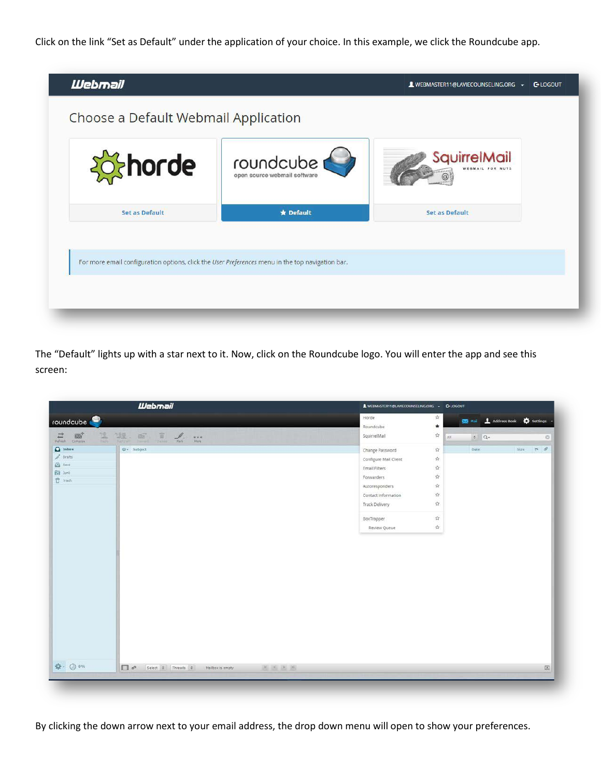Click on the link "Set as Default" under the application of your choice. In this example, we click the Roundcube app.



The "Default" lights up with a star next to it. Now, click on the Roundcube logo. You will enter the app and see this screen:



By clicking the down arrow next to your email address, the drop down menu will open to show your preferences.